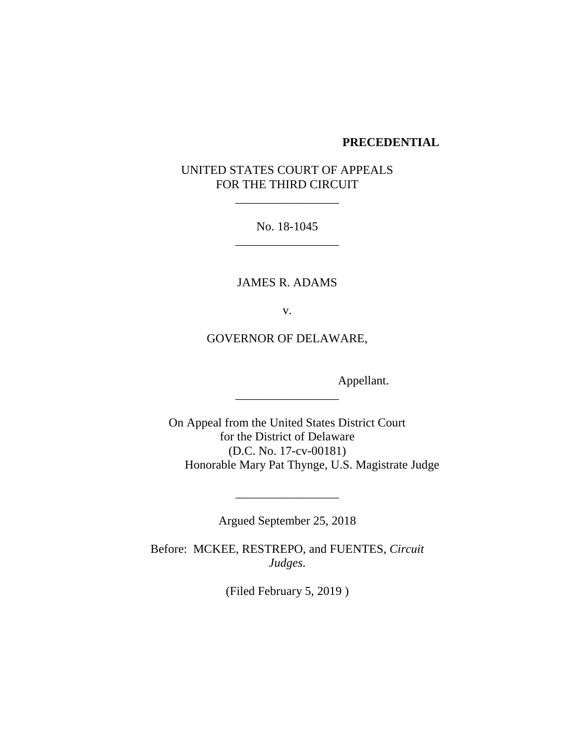### **PRECEDENTIAL**

# UNITED STATES COURT OF APPEALS FOR THE THIRD CIRCUIT

\_\_\_\_\_\_\_\_\_\_\_\_\_\_\_\_\_

No. 18-1045 \_\_\_\_\_\_\_\_\_\_\_\_\_\_\_\_\_

JAMES R. ADAMS

v.

GOVERNOR OF DELAWARE,

\_\_\_\_\_\_\_\_\_\_\_\_\_\_\_\_\_

Appellant.

On Appeal from the United States District Court for the District of Delaware (D.C. No. 17-cv-00181) Honorable Mary Pat Thynge, U.S. Magistrate Judge

Argued September 25, 2018

\_\_\_\_\_\_\_\_\_\_\_\_\_\_\_\_\_

Before: MCKEE, RESTREPO, and FUENTES, *Circuit Judges*.

(Filed February 5, 2019 )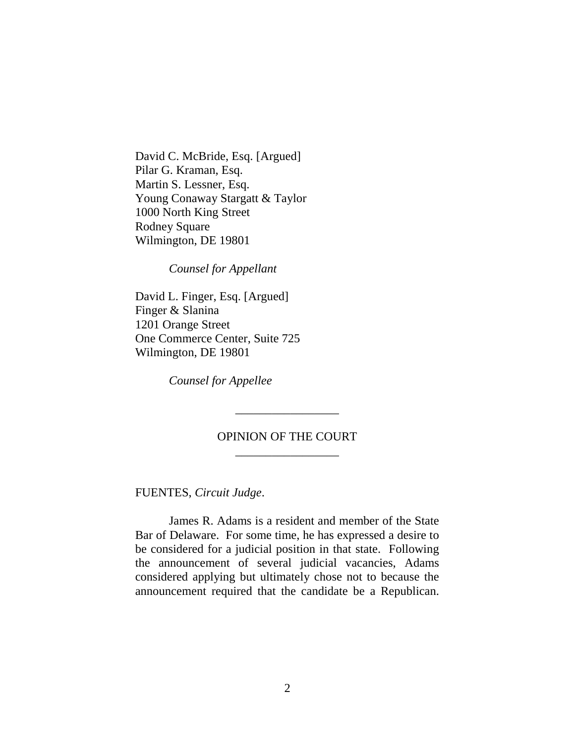David C. McBride, Esq. [Argued] Pilar G. Kraman, Esq. Martin S. Lessner, Esq. Young Conaway Stargatt & Taylor 1000 North King Street Rodney Square Wilmington, DE 19801

*Counsel for Appellant*

David L. Finger, Esq. [Argued] Finger & Slanina 1201 Orange Street One Commerce Center, Suite 725 Wilmington, DE 19801

*Counsel for Appellee*

## OPINION OF THE COURT \_\_\_\_\_\_\_\_\_\_\_\_\_\_\_\_\_

\_\_\_\_\_\_\_\_\_\_\_\_\_\_\_\_\_

FUENTES, *Circuit Judge*.

James R. Adams is a resident and member of the State Bar of Delaware. For some time, he has expressed a desire to be considered for a judicial position in that state. Following the announcement of several judicial vacancies, Adams considered applying but ultimately chose not to because the announcement required that the candidate be a Republican.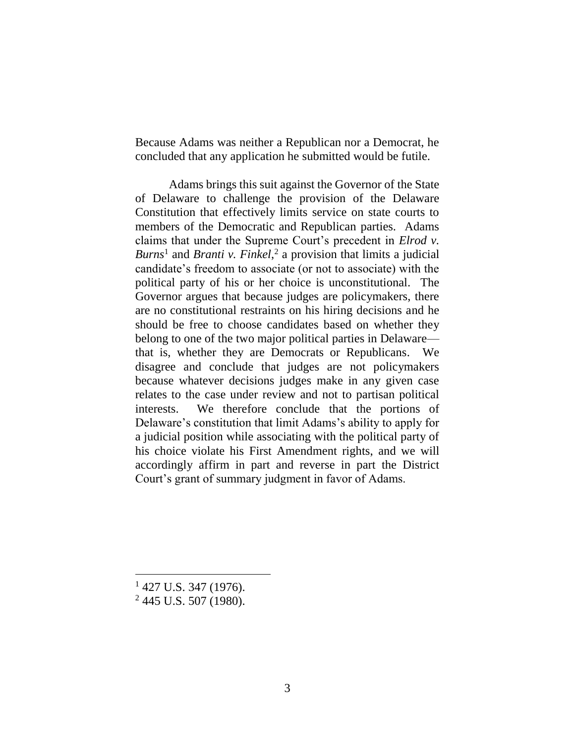Because Adams was neither a Republican nor a Democrat, he concluded that any application he submitted would be futile.

Adams brings this suit against the Governor of the State of Delaware to challenge the provision of the Delaware Constitution that effectively limits service on state courts to members of the Democratic and Republican parties. Adams claims that under the Supreme Court's precedent in *Elrod v. Burns*<sup>1</sup> and *Branti v. Finkel*, 2 a provision that limits a judicial candidate's freedom to associate (or not to associate) with the political party of his or her choice is unconstitutional. The Governor argues that because judges are policymakers, there are no constitutional restraints on his hiring decisions and he should be free to choose candidates based on whether they belong to one of the two major political parties in Delaware that is, whether they are Democrats or Republicans. We disagree and conclude that judges are not policymakers because whatever decisions judges make in any given case relates to the case under review and not to partisan political interests. We therefore conclude that the portions of Delaware's constitution that limit Adams's ability to apply for a judicial position while associating with the political party of his choice violate his First Amendment rights, and we will accordingly affirm in part and reverse in part the District Court's grant of summary judgment in favor of Adams.

 $1427$  U.S. 347 (1976).

<sup>2</sup> 445 U.S. 507 (1980).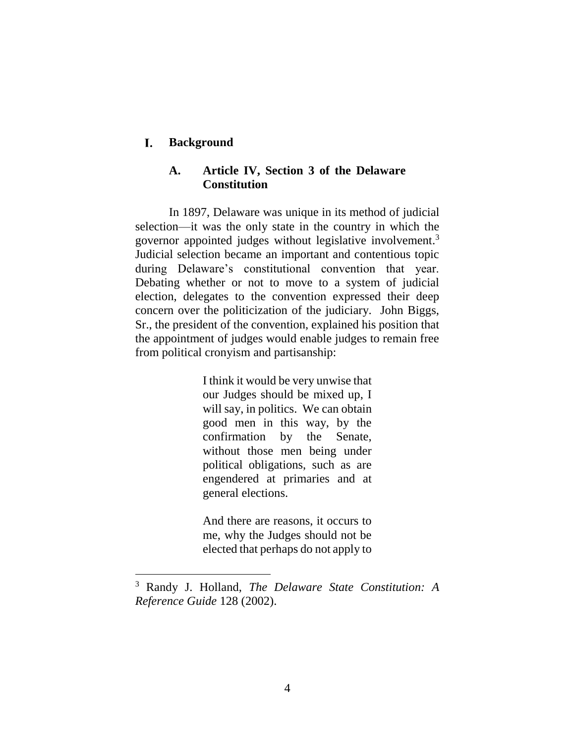#### L. **Background**

## **A. Article IV, Section 3 of the Delaware Constitution**

In 1897, Delaware was unique in its method of judicial selection—it was the only state in the country in which the governor appointed judges without legislative involvement. 3 Judicial selection became an important and contentious topic during Delaware's constitutional convention that year. Debating whether or not to move to a system of judicial election, delegates to the convention expressed their deep concern over the politicization of the judiciary. John Biggs, Sr., the president of the convention, explained his position that the appointment of judges would enable judges to remain free from political cronyism and partisanship:

> <span id="page-3-0"></span>I think it would be very unwise that our Judges should be mixed up, I will say, in politics. We can obtain good men in this way, by the confirmation by the Senate, without those men being under political obligations, such as are engendered at primaries and at general elections.

> And there are reasons, it occurs to me, why the Judges should not be elected that perhaps do not apply to

<sup>3</sup> Randy J. Holland, *The Delaware State Constitution: A Reference Guide* 128 (2002).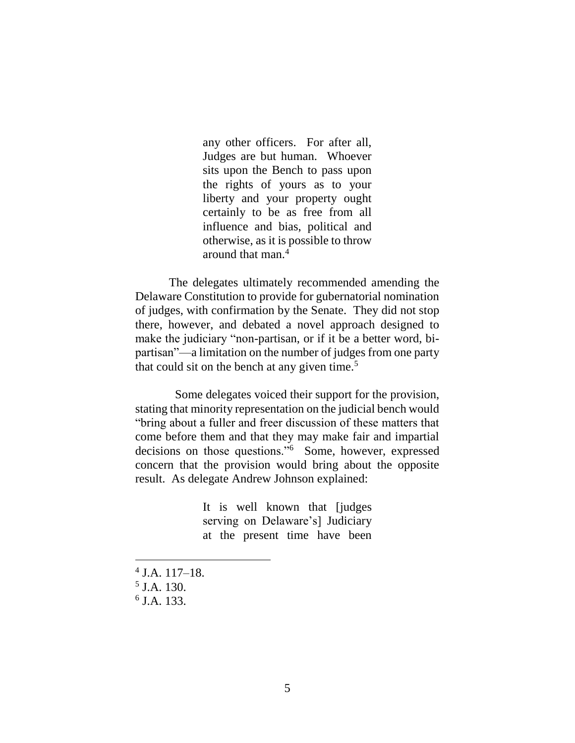any other officers. For after all, Judges are but human. Whoever sits upon the Bench to pass upon the rights of yours as to your liberty and your property ought certainly to be as free from all influence and bias, political and otherwise, as it is possible to throw around that man. $<sup>4</sup>$ </sup>

The delegates ultimately recommended amending the Delaware Constitution to provide for gubernatorial nomination of judges, with confirmation by the Senate. They did not stop there, however, and debated a novel approach designed to make the judiciary "non-partisan, or if it be a better word, bipartisan"—a limitation on the number of judges from one party that could sit on the bench at any given time.<sup>5</sup>

Some delegates voiced their support for the provision, stating that minority representation on the judicial bench would "bring about a fuller and freer discussion of these matters that come before them and that they may make fair and impartial decisions on those questions."<sup>6</sup> Some, however, expressed concern that the provision would bring about the opposite result. As delegate Andrew Johnson explained:

> It is well known that [judges serving on Delaware's] Judiciary at the present time have been

- 4 J.A. 117–18.
- 5 J.A. 130.

 $\overline{a}$ 

6 J.A. 133.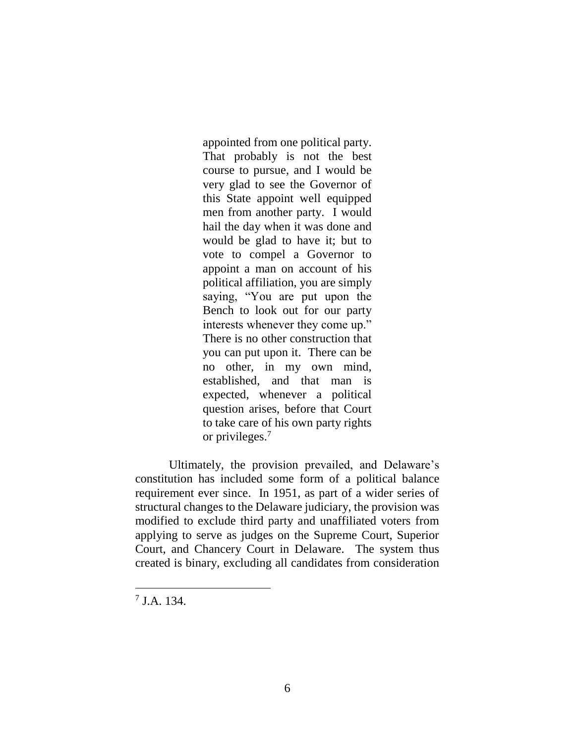appointed from one political party. That probably is not the best course to pursue, and I would be very glad to see the Governor of this State appoint well equipped men from another party. I would hail the day when it was done and would be glad to have it; but to vote to compel a Governor to appoint a man on account of his political affiliation, you are simply saying, "You are put upon the Bench to look out for our party interests whenever they come up." There is no other construction that you can put upon it. There can be no other, in my own mind, established, and that man is expected, whenever a political question arises, before that Court to take care of his own party rights or privileges.<sup>7</sup>

Ultimately, the provision prevailed, and Delaware's constitution has included some form of a political balance requirement ever since. In 1951, as part of a wider series of structural changes to the Delaware judiciary, the provision was modified to exclude third party and unaffiliated voters from applying to serve as judges on the Supreme Court, Superior Court, and Chancery Court in Delaware. The system thus created is binary, excluding all candidates from consideration

<sup>7</sup> J.A. 134.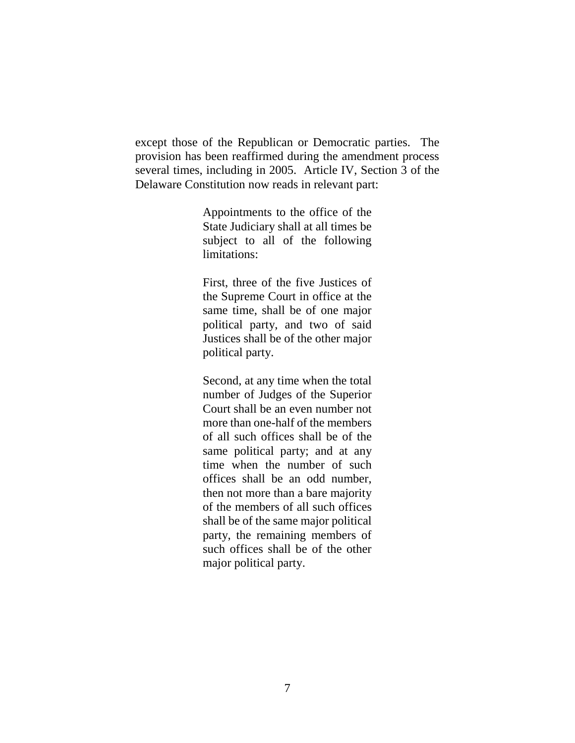except those of the Republican or Democratic parties. The provision has been reaffirmed during the amendment process several times, including in 2005. Article IV, Section 3 of the Delaware Constitution now reads in relevant part:

> Appointments to the office of the State Judiciary shall at all times be subject to all of the following limitations:

> First, three of the five Justices of the Supreme Court in office at the same time, shall be of one major political party, and two of said Justices shall be of the other major political party.

> Second, at any time when the total number of Judges of the Superior Court shall be an even number not more than one-half of the members of all such offices shall be of the same political party; and at any time when the number of such offices shall be an odd number, then not more than a bare majority of the members of all such offices shall be of the same major political party, the remaining members of such offices shall be of the other major political party.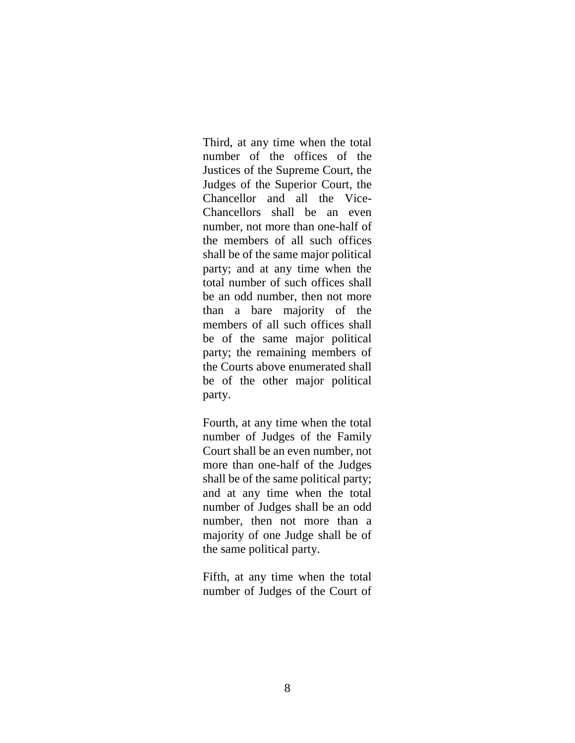Third, at any time when the total number of the offices of the Justices of the Supreme Court, the Judges of the Superior Court, the Chancellor and all the Vice-Chancellors shall be an even number, not more than one-half of the members of all such offices shall be of the same major political party; and at any time when the total number of such offices shall be an odd number, then not more than a bare majority of the members of all such offices shall be of the same major political party; the remaining members of the Courts above enumerated shall be of the other major political party.

Fourth, at any time when the total number of Judges of the Family Court shall be an even number, not more than one-half of the Judges shall be of the same political party; and at any time when the total number of Judges shall be an odd number, then not more than a majority of one Judge shall be of the same political party.

Fifth, at any time when the total number of Judges of the Court of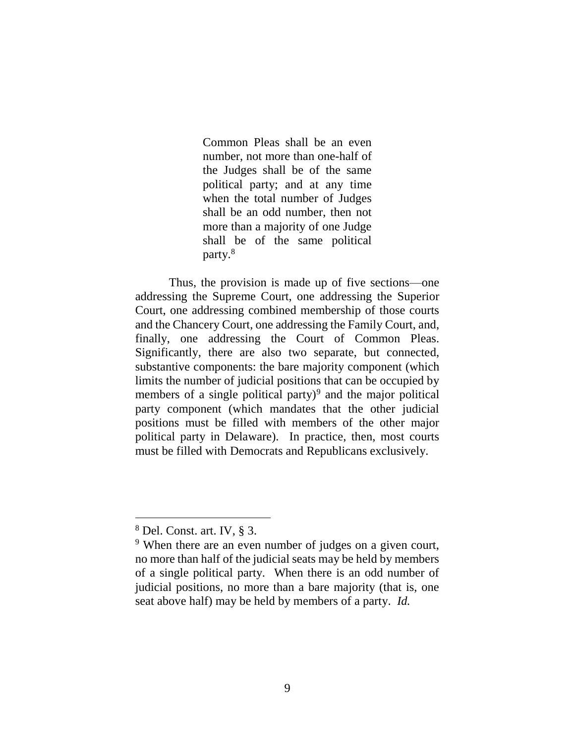Common Pleas shall be an even number, not more than one-half of the Judges shall be of the same political party; and at any time when the total number of Judges shall be an odd number, then not more than a majority of one Judge shall be of the same political party.<sup>8</sup>

Thus, the provision is made up of five sections—one addressing the Supreme Court, one addressing the Superior Court, one addressing combined membership of those courts and the Chancery Court, one addressing the Family Court, and, finally, one addressing the Court of Common Pleas. Significantly, there are also two separate, but connected, substantive components: the bare majority component (which limits the number of judicial positions that can be occupied by members of a single political party) $9$  and the major political party component (which mandates that the other judicial positions must be filled with members of the other major political party in Delaware). In practice, then, most courts must be filled with Democrats and Republicans exclusively.

<sup>8</sup> Del. Const. art. IV, § 3.

<sup>&</sup>lt;sup>9</sup> When there are an even number of judges on a given court, no more than half of the judicial seats may be held by members of a single political party. When there is an odd number of judicial positions, no more than a bare majority (that is, one seat above half) may be held by members of a party. *Id.*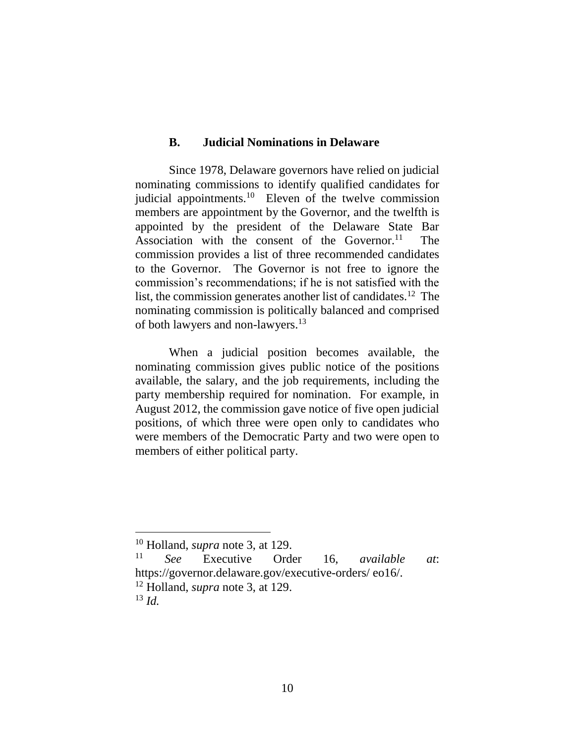### **B. Judicial Nominations in Delaware**

Since 1978, Delaware governors have relied on judicial nominating commissions to identify qualified candidates for judicial appointments.<sup>10</sup> Eleven of the twelve commission members are appointment by the Governor, and the twelfth is appointed by the president of the Delaware State Bar Association with the consent of the Governor.<sup>11</sup> The commission provides a list of three recommended candidates to the Governor. The Governor is not free to ignore the commission's recommendations; if he is not satisfied with the list, the commission generates another list of candidates.<sup>12</sup> The nominating commission is politically balanced and comprised of both lawyers and non-lawyers.<sup>13</sup>

When a judicial position becomes available, the nominating commission gives public notice of the positions available, the salary, and the job requirements, including the party membership required for nomination. For example, in August 2012, the commission gave notice of five open judicial positions, of which three were open only to candidates who were members of the Democratic Party and two were open to members of either political party.

<sup>10</sup> Holland, *supra* note [3,](#page-3-0) at 129.

<sup>11</sup> *See* Executive Order 16, *available at*: https://governor.delaware.gov/executive-orders/ eo16/. <sup>12</sup> Holland, *supra* note [3,](#page-3-0) at 129.

<sup>13</sup> *Id.*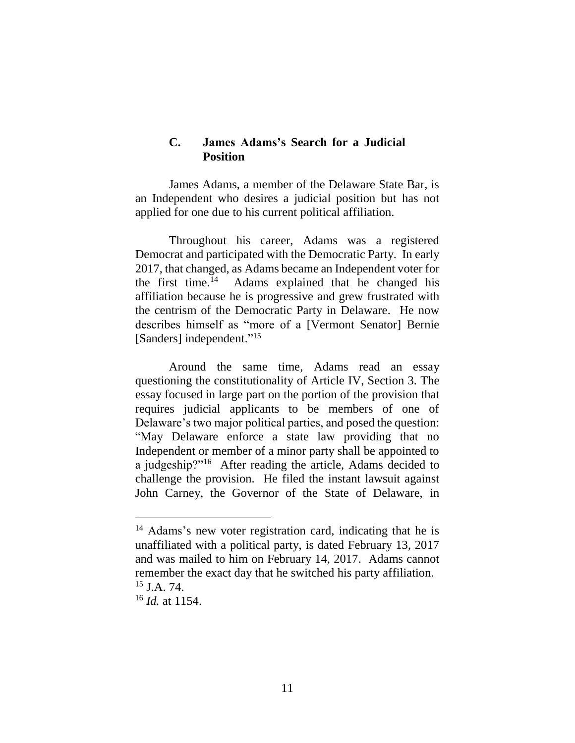## **C. James Adams's Search for a Judicial Position**

James Adams, a member of the Delaware State Bar, is an Independent who desires a judicial position but has not applied for one due to his current political affiliation.

Throughout his career, Adams was a registered Democrat and participated with the Democratic Party. In early 2017, that changed, as Adams became an Independent voter for the first time. 14 Adams explained that he changed his affiliation because he is progressive and grew frustrated with the centrism of the Democratic Party in Delaware. He now describes himself as "more of a [Vermont Senator] Bernie [Sanders] independent."<sup>15</sup>

Around the same time, Adams read an essay questioning the constitutionality of Article IV, Section 3. The essay focused in large part on the portion of the provision that requires judicial applicants to be members of one of Delaware's two major political parties, and posed the question: "May Delaware enforce a state law providing that no Independent or member of a minor party shall be appointed to a judgeship?"<sup>16</sup> After reading the article, Adams decided to challenge the provision. He filed the instant lawsuit against John Carney, the Governor of the State of Delaware, in

<sup>&</sup>lt;sup>14</sup> Adams's new voter registration card, indicating that he is unaffiliated with a political party, is dated February 13, 2017 and was mailed to him on February 14, 2017. Adams cannot remember the exact day that he switched his party affiliation.  $15$  J.A. 74.

<sup>16</sup> *Id.* at 1154.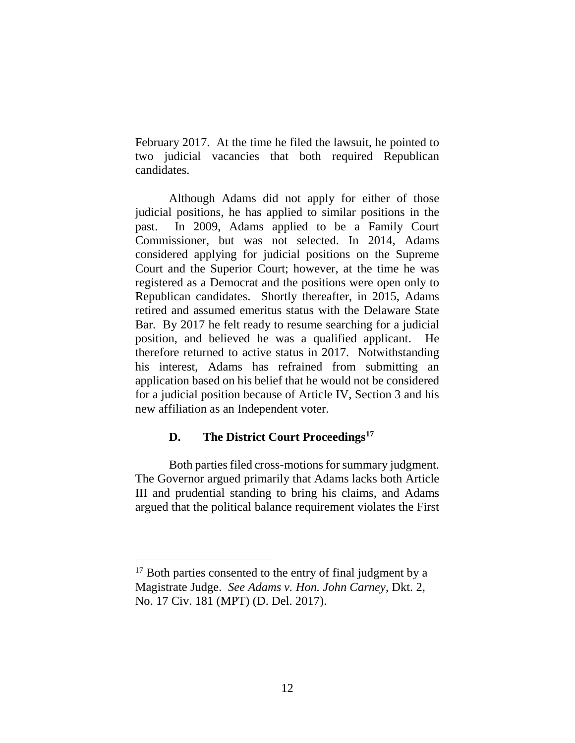February 2017. At the time he filed the lawsuit, he pointed to two judicial vacancies that both required Republican candidates.

Although Adams did not apply for either of those judicial positions, he has applied to similar positions in the past. In 2009, Adams applied to be a Family Court Commissioner, but was not selected. In 2014, Adams considered applying for judicial positions on the Supreme Court and the Superior Court; however, at the time he was registered as a Democrat and the positions were open only to Republican candidates. Shortly thereafter, in 2015, Adams retired and assumed emeritus status with the Delaware State Bar. By 2017 he felt ready to resume searching for a judicial position, and believed he was a qualified applicant. He therefore returned to active status in 2017. Notwithstanding his interest, Adams has refrained from submitting an application based on his belief that he would not be considered for a judicial position because of Article IV, Section 3 and his new affiliation as an Independent voter.

# **D. The District Court Proceedings<sup>17</sup>**

Both parties filed cross-motions for summary judgment. The Governor argued primarily that Adams lacks both Article III and prudential standing to bring his claims, and Adams argued that the political balance requirement violates the First

 $17$  Both parties consented to the entry of final judgment by a Magistrate Judge. *See Adams v. Hon. John Carney*, Dkt. 2, No. 17 Civ. 181 (MPT) (D. Del. 2017).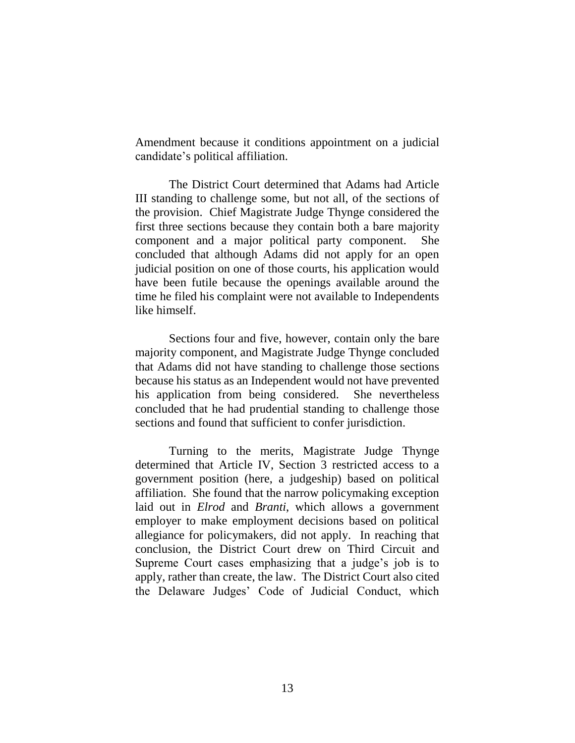Amendment because it conditions appointment on a judicial candidate's political affiliation.

The District Court determined that Adams had Article III standing to challenge some, but not all, of the sections of the provision. Chief Magistrate Judge Thynge considered the first three sections because they contain both a bare majority component and a major political party component. She concluded that although Adams did not apply for an open judicial position on one of those courts, his application would have been futile because the openings available around the time he filed his complaint were not available to Independents like himself.

Sections four and five, however, contain only the bare majority component, and Magistrate Judge Thynge concluded that Adams did not have standing to challenge those sections because his status as an Independent would not have prevented his application from being considered. She nevertheless concluded that he had prudential standing to challenge those sections and found that sufficient to confer jurisdiction.

Turning to the merits, Magistrate Judge Thynge determined that Article IV, Section 3 restricted access to a government position (here, a judgeship) based on political affiliation. She found that the narrow policymaking exception laid out in *Elrod* and *Branti*, which allows a government employer to make employment decisions based on political allegiance for policymakers, did not apply. In reaching that conclusion, the District Court drew on Third Circuit and Supreme Court cases emphasizing that a judge's job is to apply, rather than create, the law. The District Court also cited the Delaware Judges' Code of Judicial Conduct, which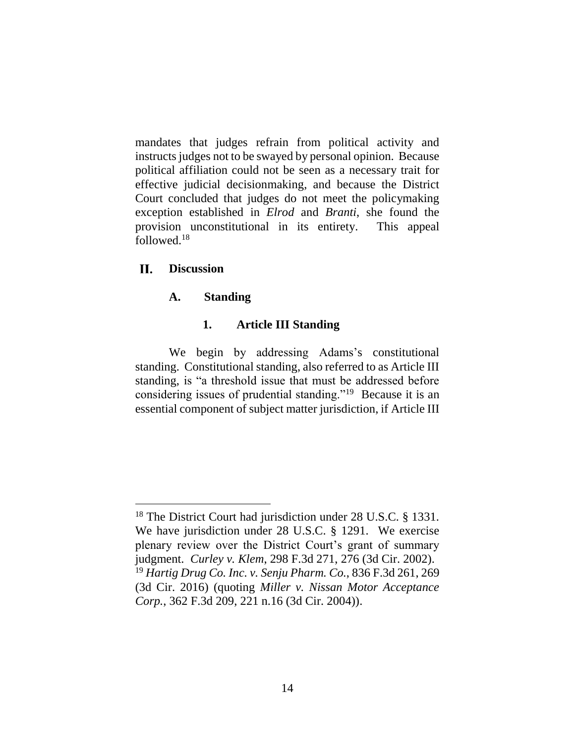mandates that judges refrain from political activity and instructs judges not to be swayed by personal opinion. Because political affiliation could not be seen as a necessary trait for effective judicial decisionmaking, and because the District Court concluded that judges do not meet the policymaking exception established in *Elrod* and *Branti*, she found the provision unconstitutional in its entirety. This appeal followed.<sup>18</sup>

#### II. **Discussion**

 $\overline{a}$ 

## **A. Standing**

## **1. Article III Standing**

We begin by addressing Adams's constitutional standing. Constitutional standing, also referred to as Article III standing, is "a threshold issue that must be addressed before considering issues of prudential standing."<sup>19</sup> Because it is an essential component of subject matter jurisdiction, if Article III

<sup>&</sup>lt;sup>18</sup> The District Court had jurisdiction under 28 U.S.C. § 1331. We have jurisdiction under 28 U.S.C. § 1291. We exercise plenary review over the District Court's grant of summary judgment. *Curley v. Klem*, 298 F.3d 271, 276 (3d Cir. 2002). <sup>19</sup> *Hartig Drug Co. Inc. v. Senju Pharm. Co.*, 836 F.3d 261, 269 (3d Cir. 2016) (quoting *Miller v. Nissan Motor Acceptance Corp.*, 362 F.3d 209, 221 n.16 (3d Cir. 2004)).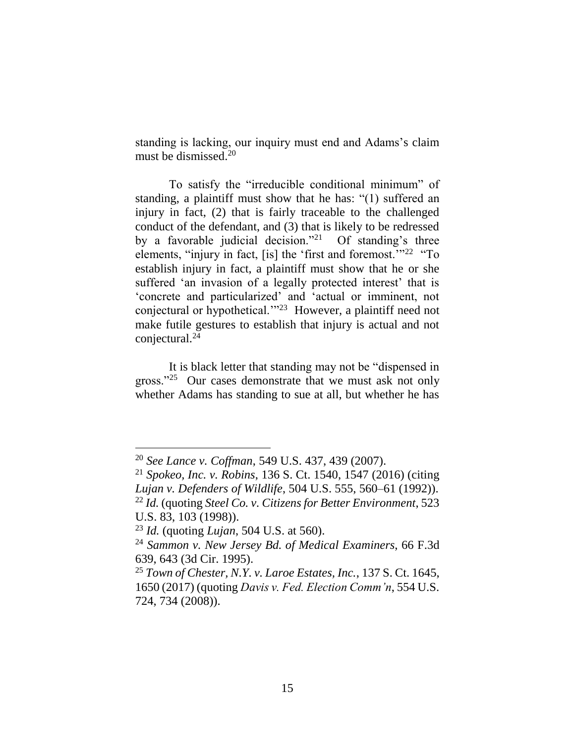standing is lacking, our inquiry must end and Adams's claim must be dismissed. 20

To satisfy the "irreducible conditional minimum" of standing, a plaintiff must show that he has: "(1) suffered an injury in fact, (2) that is fairly traceable to the challenged conduct of the defendant, and (3) that is likely to be redressed by a favorable judicial decision."<sup>21</sup> Of standing's three elements, "injury in fact, [is] the 'first and foremost."<sup>22</sup> "To establish injury in fact, a plaintiff must show that he or she suffered 'an invasion of a legally protected interest' that is 'concrete and particularized' and 'actual or imminent, not conjectural or hypothetical.'"<sup>23</sup> However, a plaintiff need not make futile gestures to establish that injury is actual and not conjectural.<sup>24</sup>

It is black letter that standing may not be "dispensed in gross."<sup>25</sup> Our cases demonstrate that we must ask not only whether Adams has standing to sue at all, but whether he has

<sup>20</sup> *See Lance v. Coffman*, 549 U.S. 437, 439 (2007).

<sup>21</sup> *Spokeo, Inc. v. Robins*, 136 S. Ct. 1540, 1547 (2016) (citing *Lujan v. Defenders of Wildlife*, 504 U.S. 555, 560–61 (1992)). <sup>22</sup> *Id.* (quoting *Steel Co. v. Citizens for Better Environment*, 523

U.S. 83, 103 (1998)).

<sup>23</sup> *Id.* (quoting *Lujan*, 504 U.S. at 560).

<sup>24</sup> *Sammon v. New Jersey Bd. of Medical Examiners*, 66 F.3d 639, 643 (3d Cir. 1995).

<sup>25</sup> *Town of Chester, N.Y. v. Laroe Estates, Inc.*, 137 S. Ct. 1645, 1650 (2017) (quoting *Davis v. Fed. Election Comm'n*, 554 U.S. 724, 734 (2008)).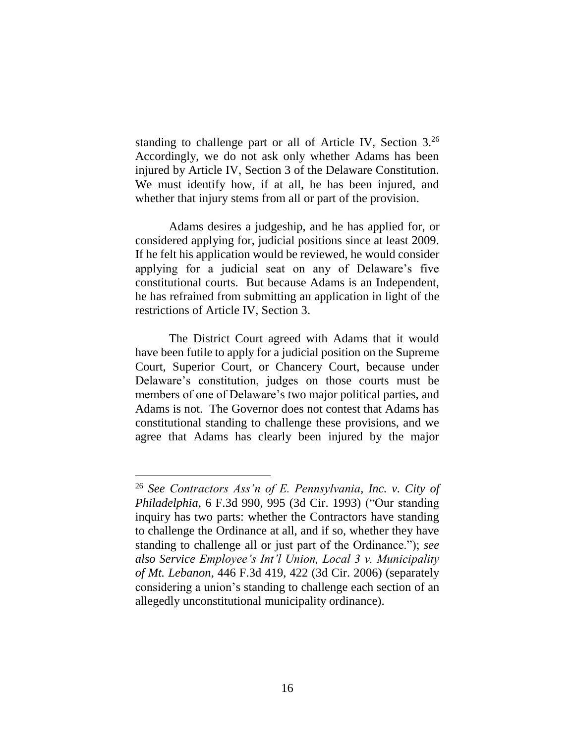standing to challenge part or all of Article IV, Section 3.<sup>26</sup> Accordingly, we do not ask only whether Adams has been injured by Article IV, Section 3 of the Delaware Constitution. We must identify how, if at all, he has been injured, and whether that injury stems from all or part of the provision.

Adams desires a judgeship, and he has applied for, or considered applying for, judicial positions since at least 2009. If he felt his application would be reviewed, he would consider applying for a judicial seat on any of Delaware's five constitutional courts. But because Adams is an Independent, he has refrained from submitting an application in light of the restrictions of Article IV, Section 3.

The District Court agreed with Adams that it would have been futile to apply for a judicial position on the Supreme Court, Superior Court, or Chancery Court, because under Delaware's constitution, judges on those courts must be members of one of Delaware's two major political parties, and Adams is not. The Governor does not contest that Adams has constitutional standing to challenge these provisions, and we agree that Adams has clearly been injured by the major

<sup>26</sup> *See Contractors Ass'n of E. Pennsylvania, Inc. v. City of Philadelphia*, 6 F.3d 990, 995 (3d Cir. 1993) ("Our standing inquiry has two parts: whether the Contractors have standing to challenge the Ordinance at all, and if so, whether they have standing to challenge all or just part of the Ordinance."); *see also Service Employee's Int'l Union, Local 3 v. Municipality of Mt. Lebanon*, 446 F.3d 419, 422 (3d Cir. 2006) (separately considering a union's standing to challenge each section of an allegedly unconstitutional municipality ordinance).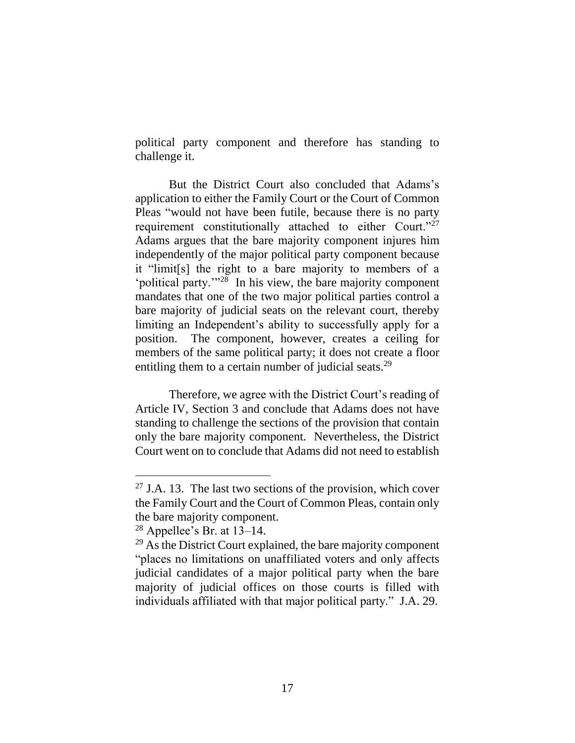political party component and therefore has standing to challenge it.

But the District Court also concluded that Adams's application to either the Family Court or the Court of Common Pleas "would not have been futile, because there is no party requirement constitutionally attached to either Court."<sup>27</sup> Adams argues that the bare majority component injures him independently of the major political party component because it "limit[s] the right to a bare majority to members of a 'political party.'"<sup>28</sup> In his view, the bare majority component mandates that one of the two major political parties control a bare majority of judicial seats on the relevant court, thereby limiting an Independent's ability to successfully apply for a position. The component, however, creates a ceiling for members of the same political party; it does not create a floor entitling them to a certain number of judicial seats.<sup>29</sup>

Therefore, we agree with the District Court's reading of Article IV, Section 3 and conclude that Adams does not have standing to challenge the sections of the provision that contain only the bare majority component. Nevertheless, the District Court went on to conclude that Adams did not need to establish

 $27$  J.A. 13. The last two sections of the provision, which cover the Family Court and the Court of Common Pleas, contain only the bare majority component.

 $28$  Appellee's Br. at 13–14.

 $29$  As the District Court explained, the bare majority component "places no limitations on unaffiliated voters and only affects judicial candidates of a major political party when the bare majority of judicial offices on those courts is filled with individuals affiliated with that major political party." J.A. 29.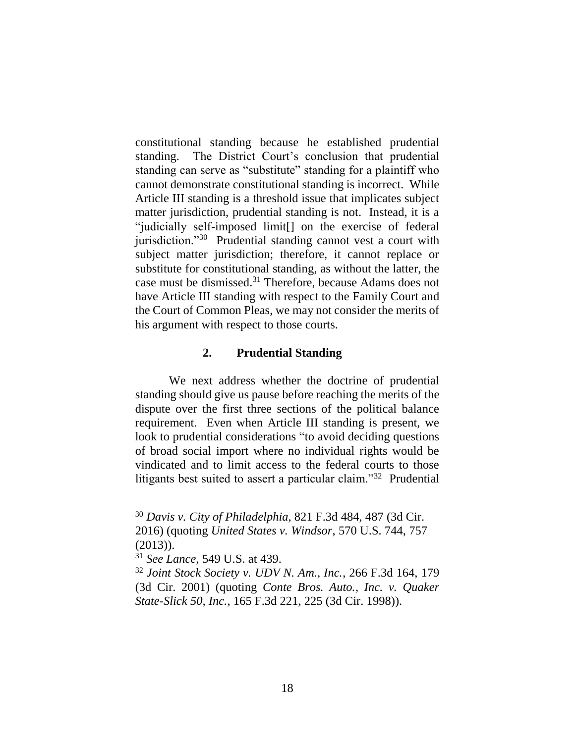constitutional standing because he established prudential standing. The District Court's conclusion that prudential standing can serve as "substitute" standing for a plaintiff who cannot demonstrate constitutional standing is incorrect. While Article III standing is a threshold issue that implicates subject matter jurisdiction, prudential standing is not. Instead, it is a "judicially self-imposed limit[] on the exercise of federal jurisdiction."<sup>30</sup> Prudential standing cannot vest a court with subject matter jurisdiction; therefore, it cannot replace or substitute for constitutional standing, as without the latter, the case must be dismissed.<sup>31</sup> Therefore, because Adams does not have Article III standing with respect to the Family Court and the Court of Common Pleas, we may not consider the merits of his argument with respect to those courts.

### **2. Prudential Standing**

We next address whether the doctrine of prudential standing should give us pause before reaching the merits of the dispute over the first three sections of the political balance requirement. Even when Article III standing is present, we look to prudential considerations "to avoid deciding questions of broad social import where no individual rights would be vindicated and to limit access to the federal courts to those litigants best suited to assert a particular claim."<sup>32</sup> Prudential

<sup>30</sup> *Davis v. City of Philadelphia*, 821 F.3d 484, 487 (3d Cir. 2016) (quoting *United States v. Windsor*, 570 U.S. 744, 757  $(2013)$ ).

<sup>31</sup> *See Lance*, 549 U.S. at 439.

<sup>32</sup> *Joint Stock Society v. UDV N. Am., Inc.*, 266 F.3d 164, 179 (3d Cir. 2001) (quoting *Conte Bros. Auto., Inc. v. Quaker State-Slick 50, Inc.*, 165 F.3d 221, 225 (3d Cir. 1998)).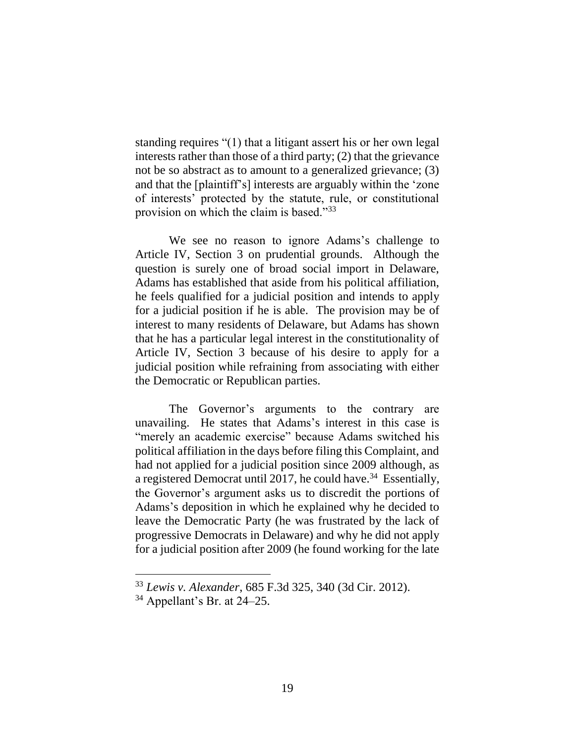standing requires "(1) that a litigant assert his or her own legal interests rather than those of a third party; (2) that the grievance not be so abstract as to amount to a generalized grievance; (3) and that the [plaintiff's] interests are arguably within the 'zone of interests' protected by the statute, rule, or constitutional provision on which the claim is based."<sup>33</sup>

We see no reason to ignore Adams's challenge to Article IV, Section 3 on prudential grounds. Although the question is surely one of broad social import in Delaware, Adams has established that aside from his political affiliation, he feels qualified for a judicial position and intends to apply for a judicial position if he is able. The provision may be of interest to many residents of Delaware, but Adams has shown that he has a particular legal interest in the constitutionality of Article IV, Section 3 because of his desire to apply for a judicial position while refraining from associating with either the Democratic or Republican parties.

The Governor's arguments to the contrary are unavailing. He states that Adams's interest in this case is "merely an academic exercise" because Adams switched his political affiliation in the days before filing this Complaint, and had not applied for a judicial position since 2009 although, as a registered Democrat until 2017, he could have.<sup>34</sup> Essentially, the Governor's argument asks us to discredit the portions of Adams's deposition in which he explained why he decided to leave the Democratic Party (he was frustrated by the lack of progressive Democrats in Delaware) and why he did not apply for a judicial position after 2009 (he found working for the late

<sup>33</sup> *Lewis v. Alexander*, 685 F.3d 325, 340 (3d Cir. 2012).

 $34$  Appellant's Br. at 24–25.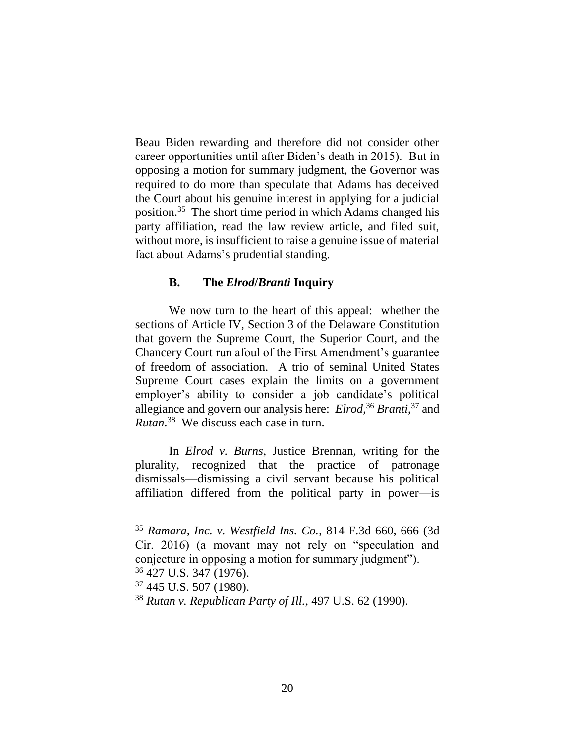Beau Biden rewarding and therefore did not consider other career opportunities until after Biden's death in 2015). But in opposing a motion for summary judgment, the Governor was required to do more than speculate that Adams has deceived the Court about his genuine interest in applying for a judicial position.<sup>35</sup> The short time period in which Adams changed his party affiliation, read the law review article, and filed suit, without more, is insufficient to raise a genuine issue of material fact about Adams's prudential standing.

### **B. The** *Elrod***/***Branti* **Inquiry**

We now turn to the heart of this appeal: whether the sections of Article IV, Section 3 of the Delaware Constitution that govern the Supreme Court, the Superior Court, and the Chancery Court run afoul of the First Amendment's guarantee of freedom of association. A trio of seminal United States Supreme Court cases explain the limits on a government employer's ability to consider a job candidate's political allegiance and govern our analysis here: *Elrod*, <sup>36</sup> *Branti*, <sup>37</sup> and *Rutan*. 38 We discuss each case in turn.

In *Elrod v. Burns*, Justice Brennan, writing for the plurality, recognized that the practice of patronage dismissals—dismissing a civil servant because his political affiliation differed from the political party in power—is

<sup>35</sup> *Ramara, Inc. v. Westfield Ins. Co.*, 814 F.3d 660, 666 (3d Cir. 2016) (a movant may not rely on "speculation and conjecture in opposing a motion for summary judgment"). <sup>36</sup> 427 U.S. 347 (1976).

<sup>37</sup> 445 U.S. 507 (1980).

<sup>38</sup> *Rutan v. Republican Party of Ill.*, 497 U.S. 62 (1990).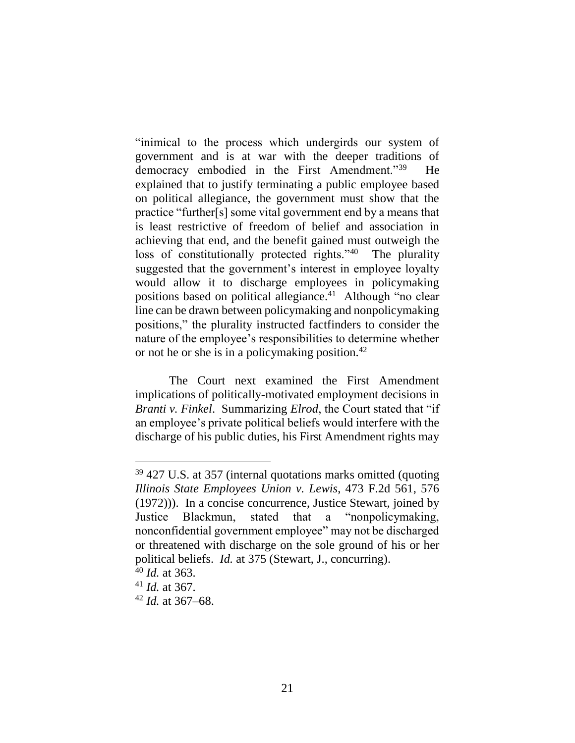"inimical to the process which undergirds our system of government and is at war with the deeper traditions of democracy embodied in the First Amendment."<sup>39</sup> He explained that to justify terminating a public employee based on political allegiance, the government must show that the practice "further[s] some vital government end by a means that is least restrictive of freedom of belief and association in achieving that end, and the benefit gained must outweigh the loss of constitutionally protected rights."<sup>40</sup> The plurality suggested that the government's interest in employee loyalty would allow it to discharge employees in policymaking positions based on political allegiance.<sup>41</sup> Although "no clear line can be drawn between policymaking and nonpolicymaking positions," the plurality instructed factfinders to consider the nature of the employee's responsibilities to determine whether or not he or she is in a policy making position.<sup>42</sup>

The Court next examined the First Amendment implications of politically-motivated employment decisions in *Branti v. Finkel*. Summarizing *Elrod*, the Court stated that "if an employee's private political beliefs would interfere with the discharge of his public duties, his First Amendment rights may

<sup>&</sup>lt;sup>39</sup> 427 U.S. at 357 (internal quotations marks omitted (quoting *Illinois State Employees Union v. Lewis*, 473 F.2d 561, 576 (1972))). In a concise concurrence, Justice Stewart, joined by Justice Blackmun, stated that a "nonpolicymaking, nonconfidential government employee" may not be discharged or threatened with discharge on the sole ground of his or her political beliefs. *Id.* at 375 (Stewart, J., concurring).

<sup>40</sup> *Id.* at 363.

<sup>41</sup> *Id.* at 367.

<sup>42</sup> *Id.* at 367–68.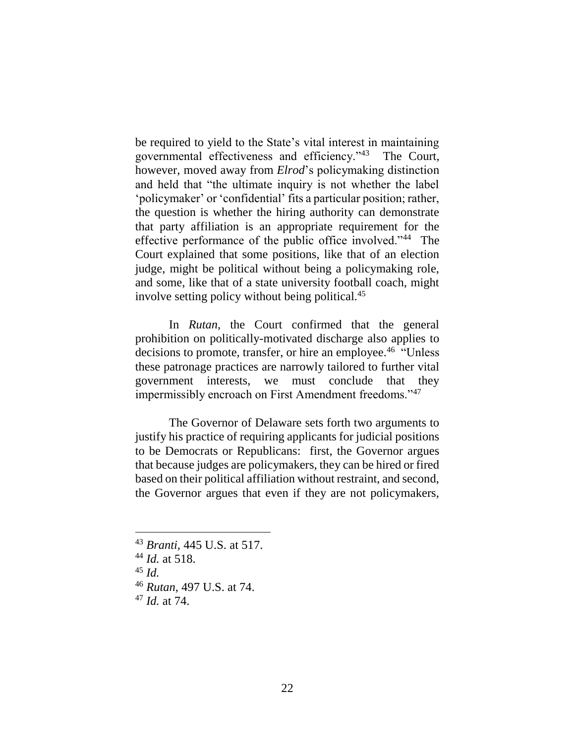be required to yield to the State's vital interest in maintaining governmental effectiveness and efficiency."<sup>43</sup> The Court, however, moved away from *Elrod*'s policymaking distinction and held that "the ultimate inquiry is not whether the label 'policymaker' or 'confidential' fits a particular position; rather, the question is whether the hiring authority can demonstrate that party affiliation is an appropriate requirement for the effective performance of the public office involved."<sup>44</sup> The Court explained that some positions, like that of an election judge, might be political without being a policymaking role, and some, like that of a state university football coach, might involve setting policy without being political.<sup>45</sup>

In *Rutan*, the Court confirmed that the general prohibition on politically-motivated discharge also applies to decisions to promote, transfer, or hire an employee.<sup>46</sup> "Unless" these patronage practices are narrowly tailored to further vital government interests, we must conclude that they impermissibly encroach on First Amendment freedoms."<sup>47</sup>

The Governor of Delaware sets forth two arguments to justify his practice of requiring applicants for judicial positions to be Democrats or Republicans: first, the Governor argues that because judges are policymakers, they can be hired or fired based on their political affiliation without restraint, and second, the Governor argues that even if they are not policymakers,

<sup>43</sup> *Branti*, 445 U.S. at 517.

<sup>44</sup> *Id.* at 518.

 $45$  *Id.* 

<sup>46</sup> *Rutan*, 497 U.S. at 74.

<sup>47</sup> *Id.* at 74.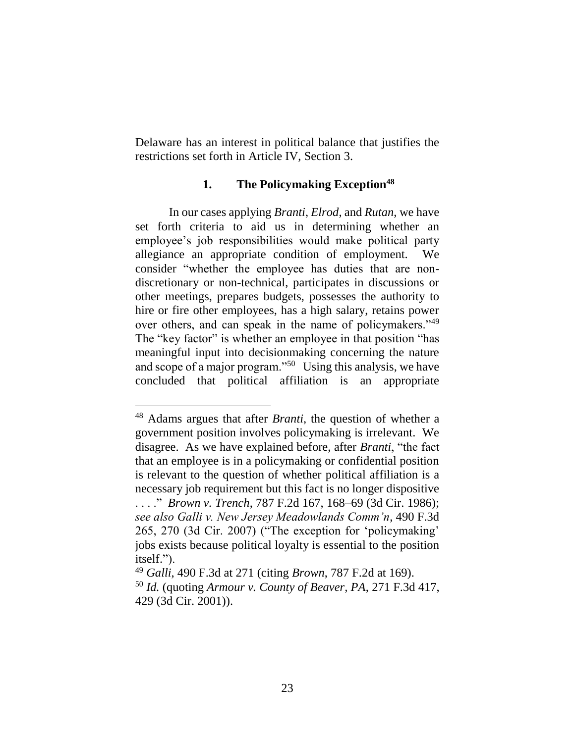Delaware has an interest in political balance that justifies the restrictions set forth in Article IV, Section 3.

### **1. The Policymaking Exception<sup>48</sup>**

In our cases applying *Branti*, *Elrod*, and *Rutan*, we have set forth criteria to aid us in determining whether an employee's job responsibilities would make political party allegiance an appropriate condition of employment. We consider "whether the employee has duties that are nondiscretionary or non-technical, participates in discussions or other meetings, prepares budgets, possesses the authority to hire or fire other employees, has a high salary, retains power over others, and can speak in the name of policymakers."<sup>49</sup> The "key factor" is whether an employee in that position "has meaningful input into decisionmaking concerning the nature and scope of a major program."<sup>50</sup> Using this analysis, we have concluded that political affiliation is an appropriate

<sup>48</sup> Adams argues that after *Branti*, the question of whether a government position involves policymaking is irrelevant. We disagree. As we have explained before, after *Branti*, "the fact that an employee is in a policymaking or confidential position is relevant to the question of whether political affiliation is a necessary job requirement but this fact is no longer dispositive . . . ." *Brown v. Trench*, 787 F.2d 167, 168–69 (3d Cir. 1986); *see also Galli v. New Jersey Meadowlands Comm'n*, 490 F.3d 265, 270 (3d Cir. 2007) ("The exception for 'policymaking' jobs exists because political loyalty is essential to the position itself.").

<sup>49</sup> *Galli*, 490 F.3d at 271 (citing *Brown*, 787 F.2d at 169).

<sup>50</sup> *Id.* (quoting *Armour v. County of Beaver, PA*, 271 F.3d 417, 429 (3d Cir. 2001)).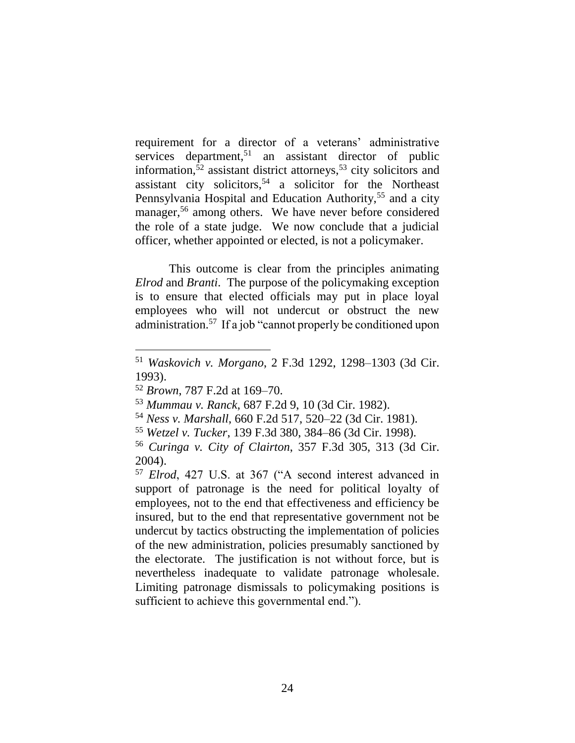requirement for a director of a veterans' administrative services department,<sup>51</sup> an assistant director of public information,<sup>52</sup> assistant district attorneys,<sup>53</sup> city solicitors and assistant city solicitors,<sup>54</sup> a solicitor for the Northeast Pennsylvania Hospital and Education Authority,<sup>55</sup> and a city manager,<sup>56</sup> among others. We have never before considered the role of a state judge. We now conclude that a judicial officer, whether appointed or elected, is not a policymaker.

This outcome is clear from the principles animating *Elrod* and *Branti*. The purpose of the policymaking exception is to ensure that elected officials may put in place loyal employees who will not undercut or obstruct the new administration.<sup>57</sup> If a job "cannot properly be conditioned upon

<sup>51</sup> *Waskovich v. Morgano*, 2 F.3d 1292, 1298–1303 (3d Cir. 1993).

<sup>52</sup> *Brown*, 787 F.2d at 169–70.

<sup>53</sup> *Mummau v. Ranck*, 687 F.2d 9, 10 (3d Cir. 1982).

<sup>54</sup> *Ness v. Marshall*, 660 F.2d 517, 520–22 (3d Cir. 1981).

<sup>55</sup> *Wetzel v. Tucker*, 139 F.3d 380, 384–86 (3d Cir. 1998).

<sup>56</sup> *Curinga v. City of Clairton*, 357 F.3d 305, 313 (3d Cir. 2004).

<sup>57</sup> *Elrod*, 427 U.S. at 367 ("A second interest advanced in support of patronage is the need for political loyalty of employees, not to the end that effectiveness and efficiency be insured, but to the end that representative government not be undercut by tactics obstructing the implementation of policies of the new administration, policies presumably sanctioned by the electorate. The justification is not without force, but is nevertheless inadequate to validate patronage wholesale. Limiting patronage dismissals to policymaking positions is sufficient to achieve this governmental end.").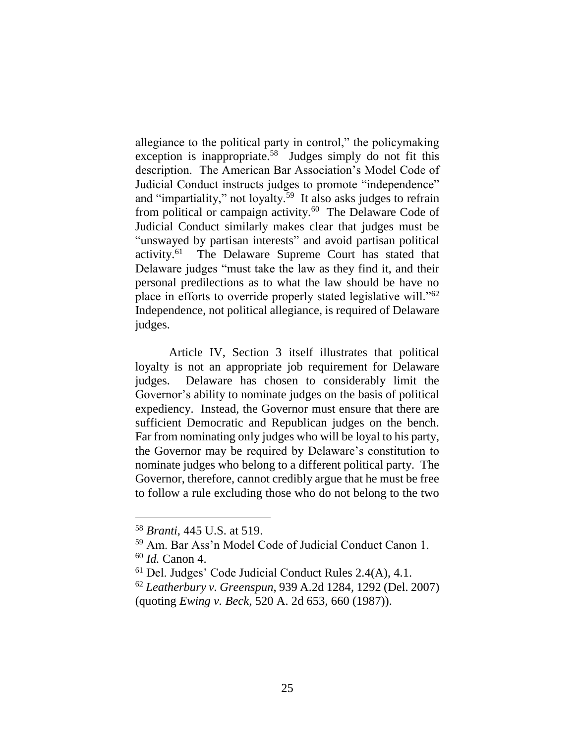allegiance to the political party in control," the policymaking exception is inappropriate.<sup>58</sup> Judges simply do not fit this description. The American Bar Association's Model Code of Judicial Conduct instructs judges to promote "independence" and "impartiality," not loyalty.<sup>59</sup> It also asks judges to refrain from political or campaign activity.<sup>60</sup> The Delaware Code of Judicial Conduct similarly makes clear that judges must be "unswayed by partisan interests" and avoid partisan political activity.<sup>61</sup> The Delaware Supreme Court has stated that Delaware judges "must take the law as they find it, and their personal predilections as to what the law should be have no place in efforts to override properly stated legislative will."<sup>62</sup> Independence, not political allegiance, is required of Delaware judges.

Article IV, Section 3 itself illustrates that political loyalty is not an appropriate job requirement for Delaware judges. Delaware has chosen to considerably limit the Governor's ability to nominate judges on the basis of political expediency. Instead, the Governor must ensure that there are sufficient Democratic and Republican judges on the bench. Far from nominating only judges who will be loyal to his party, the Governor may be required by Delaware's constitution to nominate judges who belong to a different political party. The Governor, therefore, cannot credibly argue that he must be free to follow a rule excluding those who do not belong to the two

<sup>58</sup> *Branti*, 445 U.S. at 519.

<sup>59</sup> Am. Bar Ass'n Model Code of Judicial Conduct Canon 1. <sup>60</sup> *Id.* Canon 4.

<sup>61</sup> Del. Judges' Code Judicial Conduct Rules 2.4(A), 4.1.

<sup>62</sup> *Leatherbury v. Greenspun*, 939 A.2d 1284, 1292 (Del. 2007) (quoting *Ewing v. Beck*, 520 A. 2d 653, 660 (1987)).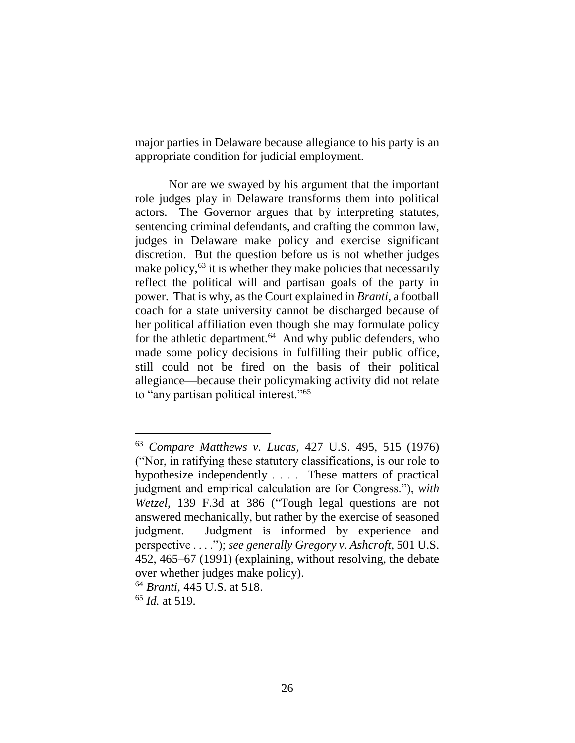major parties in Delaware because allegiance to his party is an appropriate condition for judicial employment.

Nor are we swayed by his argument that the important role judges play in Delaware transforms them into political actors. The Governor argues that by interpreting statutes, sentencing criminal defendants, and crafting the common law, judges in Delaware make policy and exercise significant discretion. But the question before us is not whether judges make policy,  $^{63}$  it is whether they make policies that necessarily reflect the political will and partisan goals of the party in power. That is why, as the Court explained in *Branti*, a football coach for a state university cannot be discharged because of her political affiliation even though she may formulate policy for the athletic department.<sup>64</sup> And why public defenders, who made some policy decisions in fulfilling their public office, still could not be fired on the basis of their political allegiance—because their policymaking activity did not relate to "any partisan political interest."<sup>65</sup>

<sup>63</sup> *Compare Matthews v. Lucas*, 427 U.S. 495, 515 (1976) ("Nor, in ratifying these statutory classifications, is our role to hypothesize independently . . . . These matters of practical judgment and empirical calculation are for Congress."), *with Wetzel*, 139 F.3d at 386 ("Tough legal questions are not answered mechanically, but rather by the exercise of seasoned judgment. Judgment is informed by experience and perspective . . . ."); *see generally Gregory v. Ashcroft*, 501 U.S. 452, 465–67 (1991) (explaining, without resolving, the debate over whether judges make policy).

<sup>64</sup> *Branti*, 445 U.S. at 518.

<sup>65</sup> *Id.* at 519.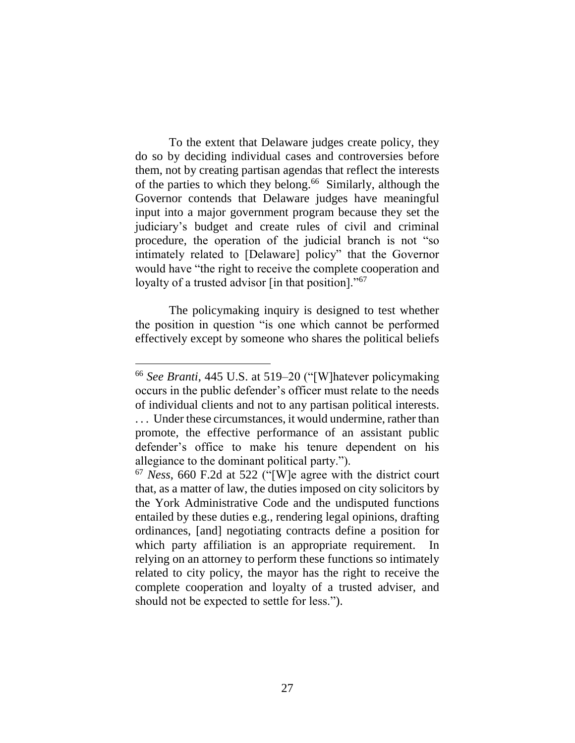To the extent that Delaware judges create policy, they do so by deciding individual cases and controversies before them, not by creating partisan agendas that reflect the interests of the parties to which they belong. <sup>66</sup> Similarly, although the Governor contends that Delaware judges have meaningful input into a major government program because they set the judiciary's budget and create rules of civil and criminal procedure, the operation of the judicial branch is not "so intimately related to [Delaware] policy" that the Governor would have "the right to receive the complete cooperation and loyalty of a trusted advisor [in that position]."<sup>67</sup>

The policymaking inquiry is designed to test whether the position in question "is one which cannot be performed effectively except by someone who shares the political beliefs

<sup>66</sup> *See Branti*, 445 U.S. at 519–20 ("[W]hatever policymaking occurs in the public defender's officer must relate to the needs of individual clients and not to any partisan political interests. ... Under these circumstances, it would undermine, rather than promote, the effective performance of an assistant public defender's office to make his tenure dependent on his allegiance to the dominant political party.").

<sup>67</sup> *Ness*, 660 F.2d at 522 ("[W]e agree with the district court that, as a matter of law, the duties imposed on city solicitors by the York Administrative Code and the undisputed functions entailed by these duties e.g., rendering legal opinions, drafting ordinances, [and] negotiating contracts define a position for which party affiliation is an appropriate requirement. relying on an attorney to perform these functions so intimately related to city policy, the mayor has the right to receive the complete cooperation and loyalty of a trusted adviser, and should not be expected to settle for less.").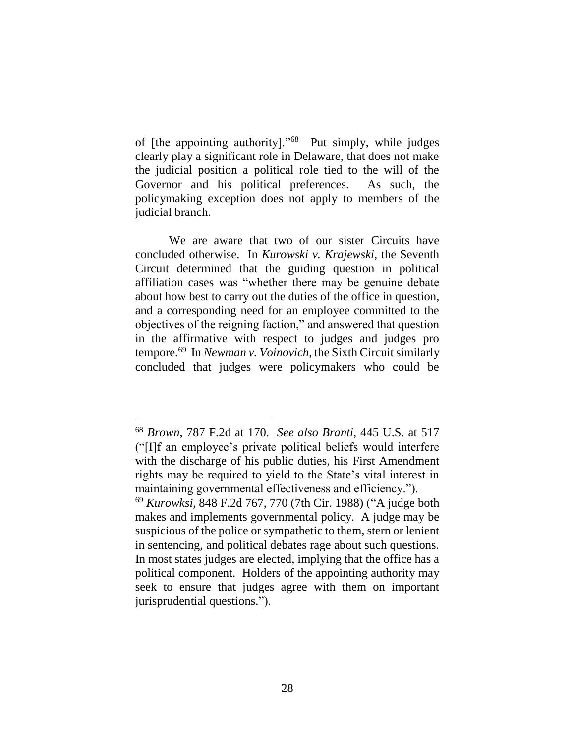of [the appointing authority]."<sup>68</sup> Put simply, while judges clearly play a significant role in Delaware, that does not make the judicial position a political role tied to the will of the Governor and his political preferences. As such, the policymaking exception does not apply to members of the judicial branch.

We are aware that two of our sister Circuits have concluded otherwise. In *Kurowski v. Krajewski*, the Seventh Circuit determined that the guiding question in political affiliation cases was "whether there may be genuine debate about how best to carry out the duties of the office in question, and a corresponding need for an employee committed to the objectives of the reigning faction," and answered that question in the affirmative with respect to judges and judges pro tempore.<sup>69</sup> In *Newman v. Voinovich*, the Sixth Circuit similarly concluded that judges were policymakers who could be

<sup>68</sup> *Brown*, 787 F.2d at 170. *See also Branti*, 445 U.S. at 517 ("[I]f an employee's private political beliefs would interfere with the discharge of his public duties, his First Amendment rights may be required to yield to the State's vital interest in maintaining governmental effectiveness and efficiency.").

<sup>69</sup> *Kurowksi*, 848 F.2d 767, 770 (7th Cir. 1988) ("A judge both makes and implements governmental policy. A judge may be suspicious of the police or sympathetic to them, stern or lenient in sentencing, and political debates rage about such questions. In most states judges are elected, implying that the office has a political component. Holders of the appointing authority may seek to ensure that judges agree with them on important jurisprudential questions.").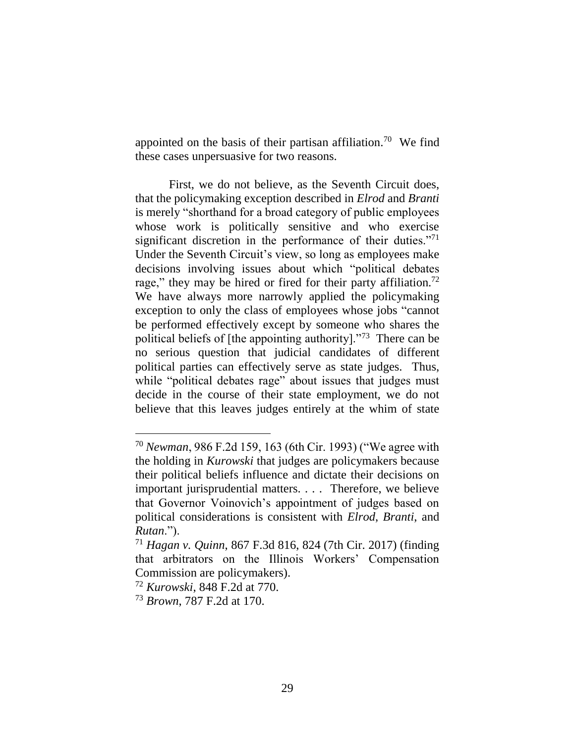appointed on the basis of their partisan affiliation.<sup>70</sup> We find these cases unpersuasive for two reasons.

First, we do not believe, as the Seventh Circuit does, that the policymaking exception described in *Elrod* and *Branti*  is merely "shorthand for a broad category of public employees whose work is politically sensitive and who exercise significant discretion in the performance of their duties."71 Under the Seventh Circuit's view, so long as employees make decisions involving issues about which "political debates rage," they may be hired or fired for their party affiliation.<sup>72</sup> We have always more narrowly applied the policymaking exception to only the class of employees whose jobs "cannot be performed effectively except by someone who shares the political beliefs of [the appointing authority]."<sup>73</sup> There can be no serious question that judicial candidates of different political parties can effectively serve as state judges. Thus, while "political debates rage" about issues that judges must decide in the course of their state employment, we do not believe that this leaves judges entirely at the whim of state

<sup>70</sup> *Newman*, 986 F.2d 159, 163 (6th Cir. 1993) ("We agree with the holding in *Kurowski* that judges are policymakers because their political beliefs influence and dictate their decisions on important jurisprudential matters. . . . Therefore, we believe that Governor Voinovich's appointment of judges based on political considerations is consistent with *Elrod*, *Branti*, and *Rutan*.").

<sup>71</sup> *Hagan v. Quinn*, 867 F.3d 816, 824 (7th Cir. 2017) (finding that arbitrators on the Illinois Workers' Compensation Commission are policymakers).

<sup>72</sup> *Kurowski*, 848 F.2d at 770.

<sup>73</sup> *Brown*, 787 F.2d at 170.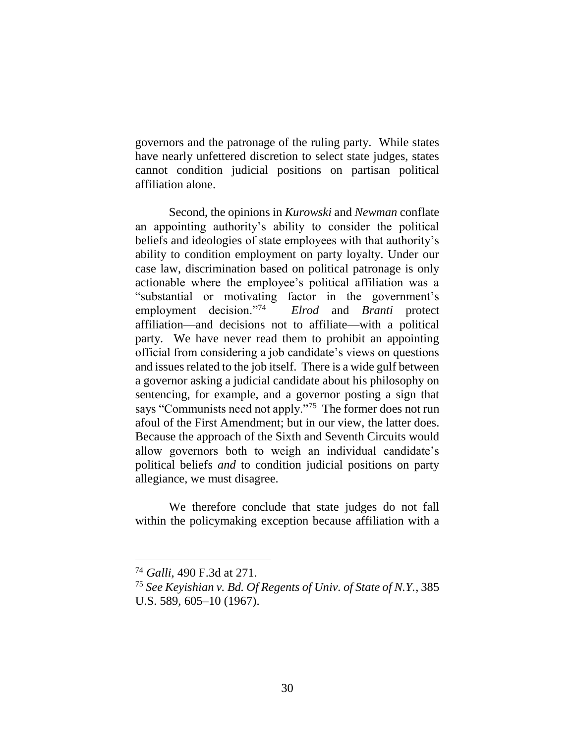governors and the patronage of the ruling party. While states have nearly unfettered discretion to select state judges, states cannot condition judicial positions on partisan political affiliation alone.

Second, the opinions in *Kurowski* and *Newman* conflate an appointing authority's ability to consider the political beliefs and ideologies of state employees with that authority's ability to condition employment on party loyalty. Under our case law, discrimination based on political patronage is only actionable where the employee's political affiliation was a "substantial or motivating factor in the government's employment decision."<sup>74</sup> *Elrod* and *Branti* protect affiliation—and decisions not to affiliate—with a political party. We have never read them to prohibit an appointing official from considering a job candidate's views on questions and issues related to the job itself. There is a wide gulf between a governor asking a judicial candidate about his philosophy on sentencing, for example, and a governor posting a sign that says "Communists need not apply."<sup>75</sup> The former does not run afoul of the First Amendment; but in our view, the latter does. Because the approach of the Sixth and Seventh Circuits would allow governors both to weigh an individual candidate's political beliefs *and* to condition judicial positions on party allegiance, we must disagree.

We therefore conclude that state judges do not fall within the policymaking exception because affiliation with a

<sup>74</sup> *Galli*, 490 F.3d at 271.

<sup>75</sup> *See Keyishian v. Bd. Of Regents of Univ. of State of N.Y.*, 385 U.S. 589, 605–10 (1967).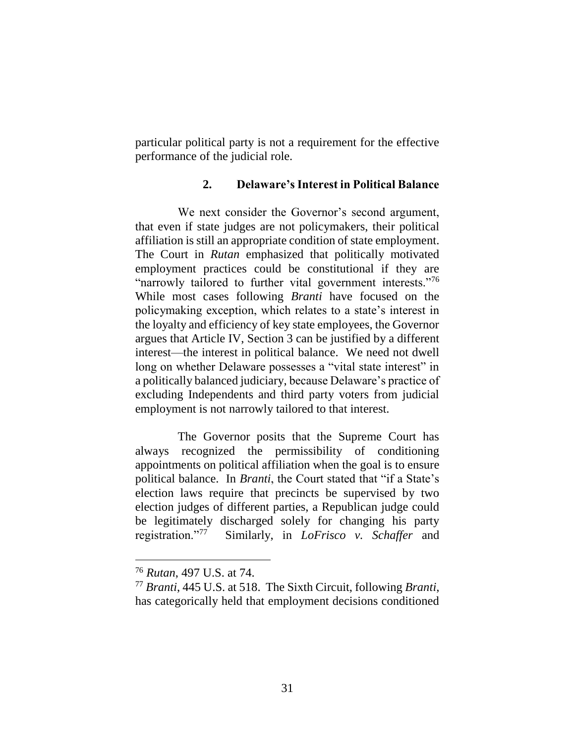particular political party is not a requirement for the effective performance of the judicial role.

### **2. Delaware's Interest in Political Balance**

We next consider the Governor's second argument, that even if state judges are not policymakers, their political affiliation is still an appropriate condition of state employment. The Court in *Rutan* emphasized that politically motivated employment practices could be constitutional if they are "narrowly tailored to further vital government interests."<sup>76</sup> While most cases following *Branti* have focused on the policymaking exception, which relates to a state's interest in the loyalty and efficiency of key state employees, the Governor argues that Article IV, Section 3 can be justified by a different interest—the interest in political balance. We need not dwell long on whether Delaware possesses a "vital state interest" in a politically balanced judiciary, because Delaware's practice of excluding Independents and third party voters from judicial employment is not narrowly tailored to that interest.

The Governor posits that the Supreme Court has always recognized the permissibility of conditioning appointments on political affiliation when the goal is to ensure political balance. In *Branti*, the Court stated that "if a State's election laws require that precincts be supervised by two election judges of different parties, a Republican judge could be legitimately discharged solely for changing his party registration."<sup>77</sup> Similarly, in *LoFrisco v. Schaffer* and

<sup>76</sup> *Rutan*, 497 U.S. at 74.

<sup>77</sup> *Branti*, 445 U.S. at 518. The Sixth Circuit, following *Branti*, has categorically held that employment decisions conditioned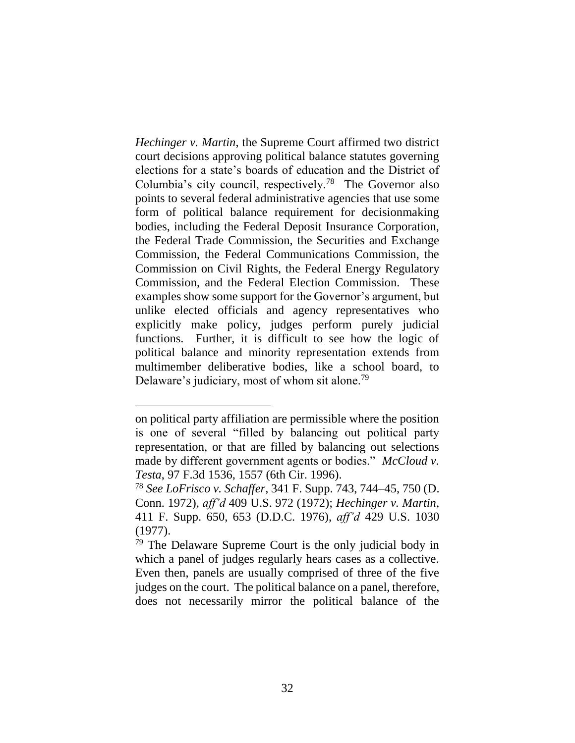*Hechinger v. Martin*, the Supreme Court affirmed two district court decisions approving political balance statutes governing elections for a state's boards of education and the District of Columbia's city council, respectively.<sup>78</sup> The Governor also points to several federal administrative agencies that use some form of political balance requirement for decisionmaking bodies, including the Federal Deposit Insurance Corporation, the Federal Trade Commission, the Securities and Exchange Commission, the Federal Communications Commission, the Commission on Civil Rights, the Federal Energy Regulatory Commission, and the Federal Election Commission. These examples show some support for the Governor's argument, but unlike elected officials and agency representatives who explicitly make policy, judges perform purely judicial functions. Further, it is difficult to see how the logic of political balance and minority representation extends from multimember deliberative bodies, like a school board, to Delaware's judiciary, most of whom sit alone.<sup>79</sup>

on political party affiliation are permissible where the position is one of several "filled by balancing out political party representation, or that are filled by balancing out selections made by different government agents or bodies." *McCloud v. Testa*, 97 F.3d 1536, 1557 (6th Cir. 1996).

<sup>78</sup> *See LoFrisco v. Schaffer*, 341 F. Supp. 743, 744–45, 750 (D. Conn. 1972), *aff'd* 409 U.S. 972 (1972); *Hechinger v. Martin*, 411 F. Supp. 650, 653 (D.D.C. 1976), *aff'd* 429 U.S. 1030 (1977).

<sup>79</sup> The Delaware Supreme Court is the only judicial body in which a panel of judges regularly hears cases as a collective. Even then, panels are usually comprised of three of the five judges on the court. The political balance on a panel, therefore, does not necessarily mirror the political balance of the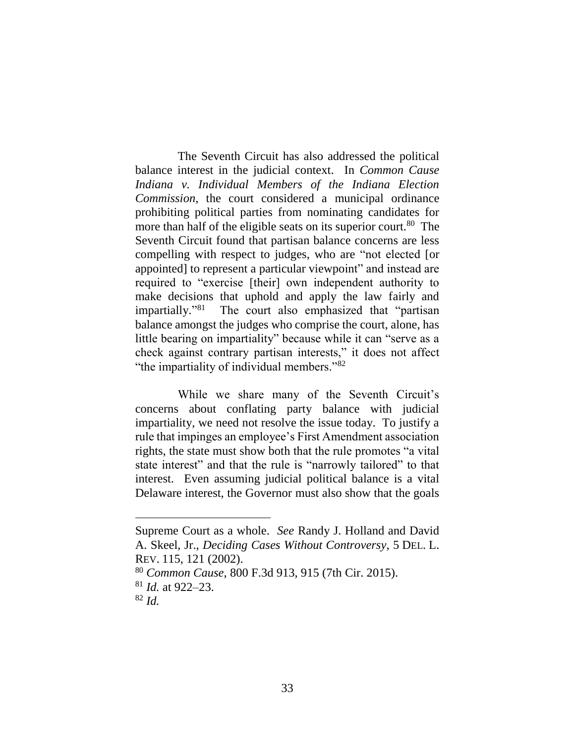The Seventh Circuit has also addressed the political balance interest in the judicial context. In *Common Cause Indiana v. Individual Members of the Indiana Election Commission*, the court considered a municipal ordinance prohibiting political parties from nominating candidates for more than half of the eligible seats on its superior court.<sup>80</sup> The Seventh Circuit found that partisan balance concerns are less compelling with respect to judges, who are "not elected [or appointed] to represent a particular viewpoint" and instead are required to "exercise [their] own independent authority to make decisions that uphold and apply the law fairly and impartially."<sup>81</sup> The court also emphasized that "partisan balance amongst the judges who comprise the court, alone, has little bearing on impartiality" because while it can "serve as a check against contrary partisan interests," it does not affect "the impartiality of individual members."<sup>82</sup>

While we share many of the Seventh Circuit's concerns about conflating party balance with judicial impartiality, we need not resolve the issue today. To justify a rule that impinges an employee's First Amendment association rights, the state must show both that the rule promotes "a vital state interest" and that the rule is "narrowly tailored" to that interest. Even assuming judicial political balance is a vital Delaware interest, the Governor must also show that the goals

Supreme Court as a whole. *See* Randy J. Holland and David A. Skeel, Jr., *Deciding Cases Without Controversy*, 5 DEL. L. REV. 115, 121 (2002).

<sup>80</sup> *Common Cause*, 800 F.3d 913, 915 (7th Cir. 2015). <sup>81</sup> *Id.* at 922–23.

 $82$  *Id.*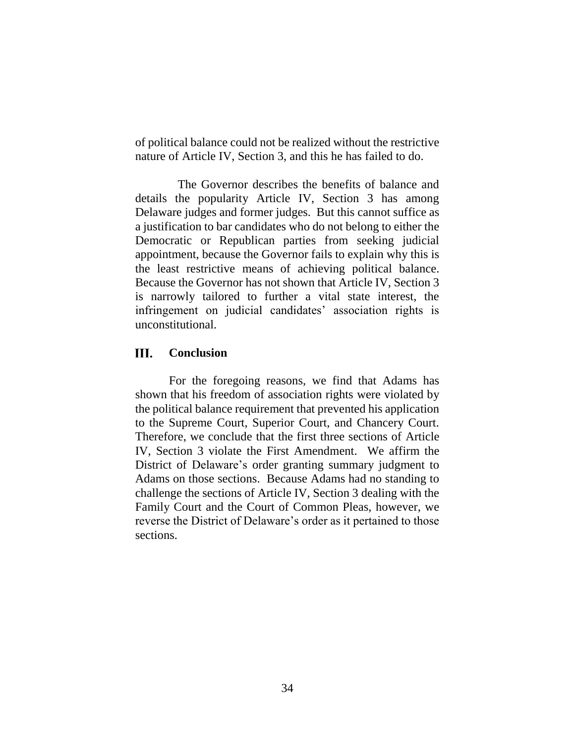of political balance could not be realized without the restrictive nature of Article IV, Section 3, and this he has failed to do.

The Governor describes the benefits of balance and details the popularity Article IV, Section 3 has among Delaware judges and former judges. But this cannot suffice as a justification to bar candidates who do not belong to either the Democratic or Republican parties from seeking judicial appointment, because the Governor fails to explain why this is the least restrictive means of achieving political balance. Because the Governor has not shown that Article IV, Section 3 is narrowly tailored to further a vital state interest, the infringement on judicial candidates' association rights is unconstitutional.

#### III. **Conclusion**

For the foregoing reasons, we find that Adams has shown that his freedom of association rights were violated by the political balance requirement that prevented his application to the Supreme Court, Superior Court, and Chancery Court. Therefore, we conclude that the first three sections of Article IV, Section 3 violate the First Amendment. We affirm the District of Delaware's order granting summary judgment to Adams on those sections. Because Adams had no standing to challenge the sections of Article IV, Section 3 dealing with the Family Court and the Court of Common Pleas, however, we reverse the District of Delaware's order as it pertained to those sections.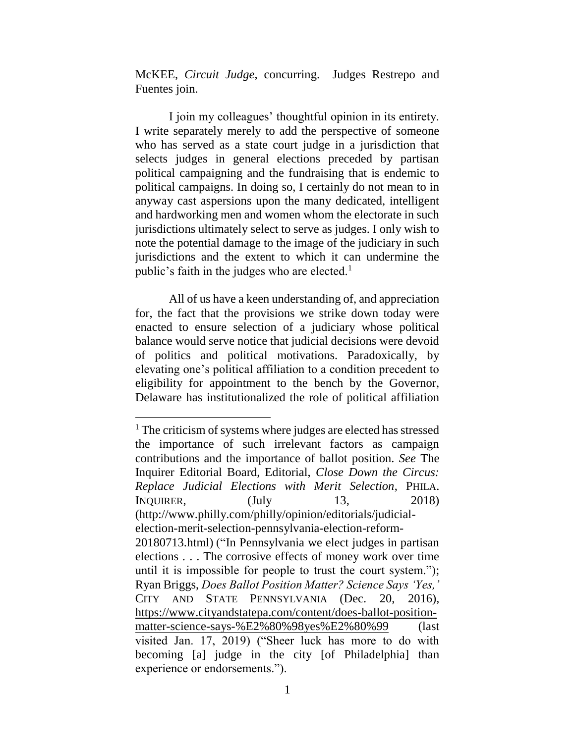McKEE, *Circuit Judge*, concurring. Judges Restrepo and Fuentes join.

I join my colleagues' thoughtful opinion in its entirety. I write separately merely to add the perspective of someone who has served as a state court judge in a jurisdiction that selects judges in general elections preceded by partisan political campaigning and the fundraising that is endemic to political campaigns. In doing so, I certainly do not mean to in anyway cast aspersions upon the many dedicated, intelligent and hardworking men and women whom the electorate in such jurisdictions ultimately select to serve as judges. I only wish to note the potential damage to the image of the judiciary in such jurisdictions and the extent to which it can undermine the public's faith in the judges who are elected.<sup>1</sup>

All of us have a keen understanding of, and appreciation for, the fact that the provisions we strike down today were enacted to ensure selection of a judiciary whose political balance would serve notice that judicial decisions were devoid of politics and political motivations. Paradoxically, by elevating one's political affiliation to a condition precedent to eligibility for appointment to the bench by the Governor, Delaware has institutionalized the role of political affiliation

<sup>&</sup>lt;sup>1</sup> The criticism of systems where judges are elected has stressed the importance of such irrelevant factors as campaign contributions and the importance of ballot position. *See* The Inquirer Editorial Board, Editorial, *Close Down the Circus: Replace Judicial Elections with Merit Selection*, PHILA. INQUIRER, (July 13, 2018) (http://www.philly.com/philly/opinion/editorials/judicialelection-merit-selection-pennsylvania-election-reform-20180713.html) ("In Pennsylvania we elect judges in partisan elections . . . The corrosive effects of money work over time until it is impossible for people to trust the court system."); Ryan Briggs, *Does Ballot Position Matter? Science Says 'Yes,'*  CITY AND STATE PENNSYLVANIA (Dec. 20, 2016), https://www.cityandstatepa.com/content/does-ballot-positionmatter-science-says-%E2%80%98yes%E2%80%99 (last visited Jan. 17, 2019) ("Sheer luck has more to do with becoming [a] judge in the city [of Philadelphia] than experience or endorsements.").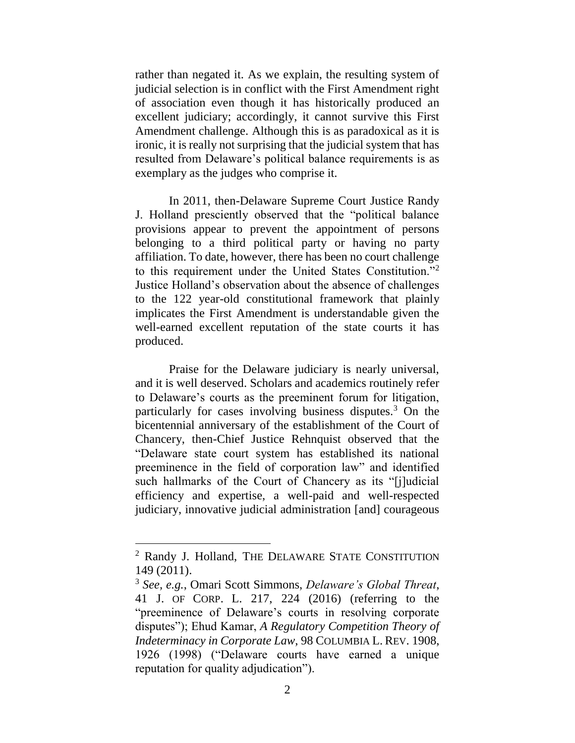rather than negated it. As we explain, the resulting system of judicial selection is in conflict with the First Amendment right of association even though it has historically produced an excellent judiciary; accordingly, it cannot survive this First Amendment challenge. Although this is as paradoxical as it is ironic, it is really not surprising that the judicial system that has resulted from Delaware's political balance requirements is as exemplary as the judges who comprise it.

In 2011, then-Delaware Supreme Court Justice Randy J. Holland presciently observed that the "political balance provisions appear to prevent the appointment of persons belonging to a third political party or having no party affiliation. To date, however, there has been no court challenge to this requirement under the United States Constitution."<sup>2</sup> Justice Holland's observation about the absence of challenges to the 122 year-old constitutional framework that plainly implicates the First Amendment is understandable given the well-earned excellent reputation of the state courts it has produced.

Praise for the Delaware judiciary is nearly universal, and it is well deserved. Scholars and academics routinely refer to Delaware's courts as the preeminent forum for litigation, particularly for cases involving business disputes.<sup>3</sup> On the bicentennial anniversary of the establishment of the Court of Chancery, then-Chief Justice Rehnquist observed that the "Delaware state court system has established its national preeminence in the field of corporation law" and identified such hallmarks of the Court of Chancery as its "[j]udicial efficiency and expertise, a well-paid and well-respected judiciary, innovative judicial administration [and] courageous

<sup>2</sup> Randy J. Holland, THE DELAWARE STATE CONSTITUTION 149 (2011).

<sup>3</sup> *See, e.g.*, Omari Scott Simmons, *Delaware's Global Threat*, 41 J. OF CORP. L. 217, 224 (2016) (referring to the "preeminence of Delaware's courts in resolving corporate disputes"); Ehud Kamar, *A Regulatory Competition Theory of Indeterminacy in Corporate Law*, 98 COLUMBIA L. REV. 1908, 1926 (1998) ("Delaware courts have earned a unique reputation for quality adjudication").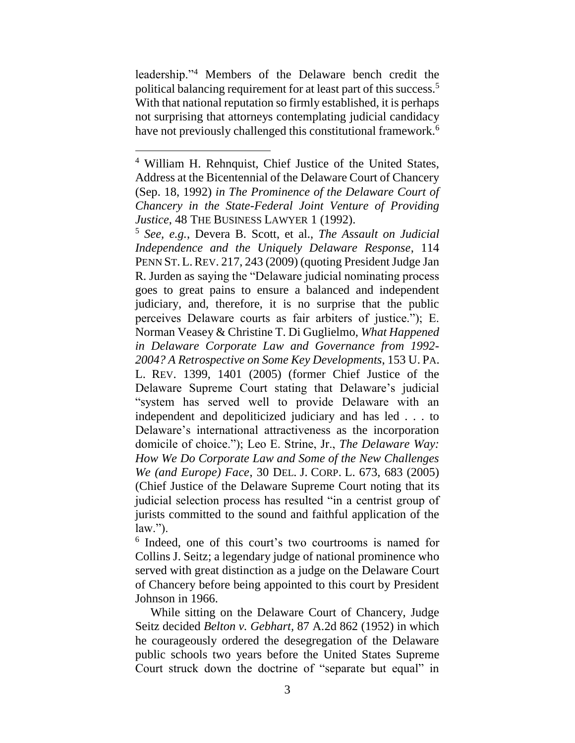leadership."<sup>4</sup> Members of the Delaware bench credit the political balancing requirement for at least part of this success.<sup>5</sup> With that national reputation so firmly established, it is perhaps not surprising that attorneys contemplating judicial candidacy have not previously challenged this constitutional framework.<sup>6</sup>

 $\overline{a}$ 

<sup>5</sup> *See, e.g.*, Devera B. Scott, et al., *The Assault on Judicial Independence and the Uniquely Delaware Response*, 114 PENN ST. L.REV. 217, 243 (2009) (quoting President Judge Jan R. Jurden as saying the "Delaware judicial nominating process goes to great pains to ensure a balanced and independent judiciary, and, therefore, it is no surprise that the public perceives Delaware courts as fair arbiters of justice."); E. Norman Veasey & Christine T. Di Guglielmo, *What Happened in Delaware Corporate Law and Governance from 1992- 2004? A Retrospective on Some Key Developments*, 153 U. PA. L. REV. 1399, 1401 (2005) (former Chief Justice of the Delaware Supreme Court stating that Delaware's judicial "system has served well to provide Delaware with an independent and depoliticized judiciary and has led . . . to Delaware's international attractiveness as the incorporation domicile of choice."); Leo E. Strine, Jr., *The Delaware Way: How We Do Corporate Law and Some of the New Challenges We (and Europe) Face*, 30 DEL. J. CORP. L. 673, 683 (2005) (Chief Justice of the Delaware Supreme Court noting that its judicial selection process has resulted "in a centrist group of jurists committed to the sound and faithful application of the  $law.'$ ).

6 Indeed, one of this court's two courtrooms is named for Collins J. Seitz; a legendary judge of national prominence who served with great distinction as a judge on the Delaware Court of Chancery before being appointed to this court by President Johnson in 1966.

 While sitting on the Delaware Court of Chancery, Judge Seitz decided *Belton v. Gebhart,* 87 A.2d 862 (1952) in which he courageously ordered the desegregation of the Delaware public schools two years before the United States Supreme Court struck down the doctrine of "separate but equal" in

<sup>4</sup> William H. Rehnquist, Chief Justice of the United States, Address at the Bicentennial of the Delaware Court of Chancery (Sep. 18, 1992) *in The Prominence of the Delaware Court of Chancery in the State-Federal Joint Venture of Providing Justice*, 48 THE BUSINESS LAWYER 1 (1992).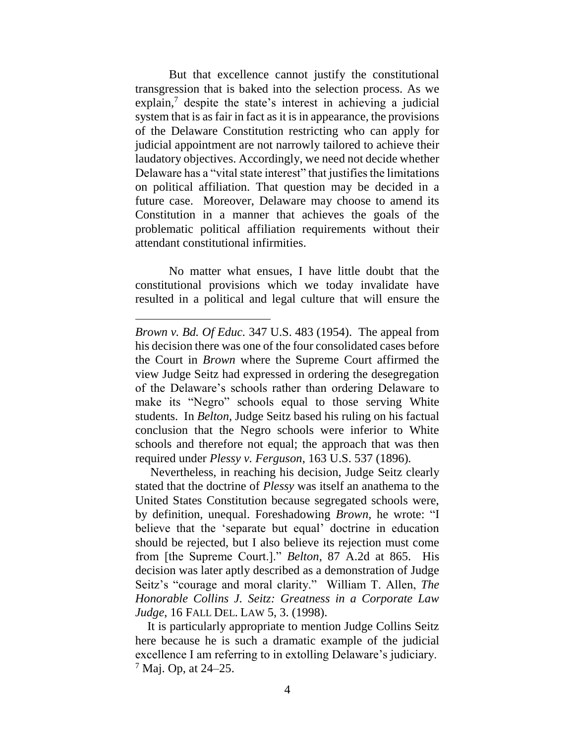But that excellence cannot justify the constitutional transgression that is baked into the selection process. As we  $\exp$ lain,<sup>7</sup> despite the state's interest in achieving a judicial system that is as fair in fact as it is in appearance, the provisions of the Delaware Constitution restricting who can apply for judicial appointment are not narrowly tailored to achieve their laudatory objectives. Accordingly, we need not decide whether Delaware has a "vital state interest" that justifies the limitations on political affiliation. That question may be decided in a future case. Moreover, Delaware may choose to amend its Constitution in a manner that achieves the goals of the problematic political affiliation requirements without their attendant constitutional infirmities.

No matter what ensues, I have little doubt that the constitutional provisions which we today invalidate have resulted in a political and legal culture that will ensure the

*Brown v. Bd. Of Educ.* 347 U.S. 483 (1954). The appeal from his decision there was one of the four consolidated cases before the Court in *Brown* where the Supreme Court affirmed the view Judge Seitz had expressed in ordering the desegregation of the Delaware's schools rather than ordering Delaware to make its "Negro" schools equal to those serving White students. In *Belton,* Judge Seitz based his ruling on his factual conclusion that the Negro schools were inferior to White schools and therefore not equal; the approach that was then required under *Plessy v. Ferguson*, 163 U.S. 537 (1896)*.* 

Nevertheless, in reaching his decision, Judge Seitz clearly stated that the doctrine of *Plessy* was itself an anathema to the United States Constitution because segregated schools were, by definition, unequal. Foreshadowing *Brown,* he wrote: "I believe that the 'separate but equal' doctrine in education should be rejected, but I also believe its rejection must come from [the Supreme Court.]." *Belton*, 87 A.2d at 865. His decision was later aptly described as a demonstration of Judge Seitz's "courage and moral clarity." William T. Allen, *The Honorable Collins J. Seitz: Greatness in a Corporate Law Judge*, 16 FALL DEL. LAW 5, 3. (1998).

It is particularly appropriate to mention Judge Collins Seitz here because he is such a dramatic example of the judicial excellence I am referring to in extolling Delaware's judiciary.  $7$  Maj. Op, at 24–25.